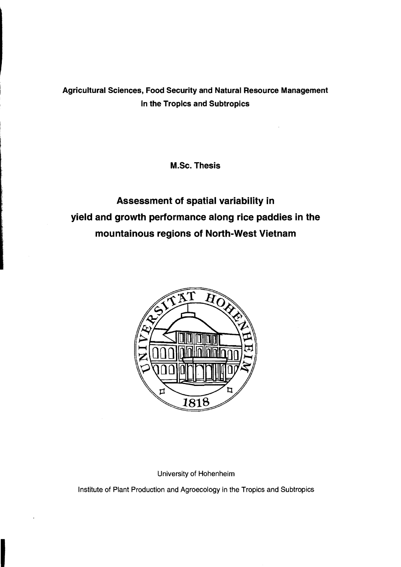## Agricultural Sciences, Food Security and Natural Resource Management in the Tropics and Subtropics

M.Sc. Thesis

## Assessment of spatial variability in yield and growth performance along rice paddies in the mountainous regions of North-West Vietnam



University of Hohenheim

Institute of Plant Production and Agroecology in the Tropics and Subtropics